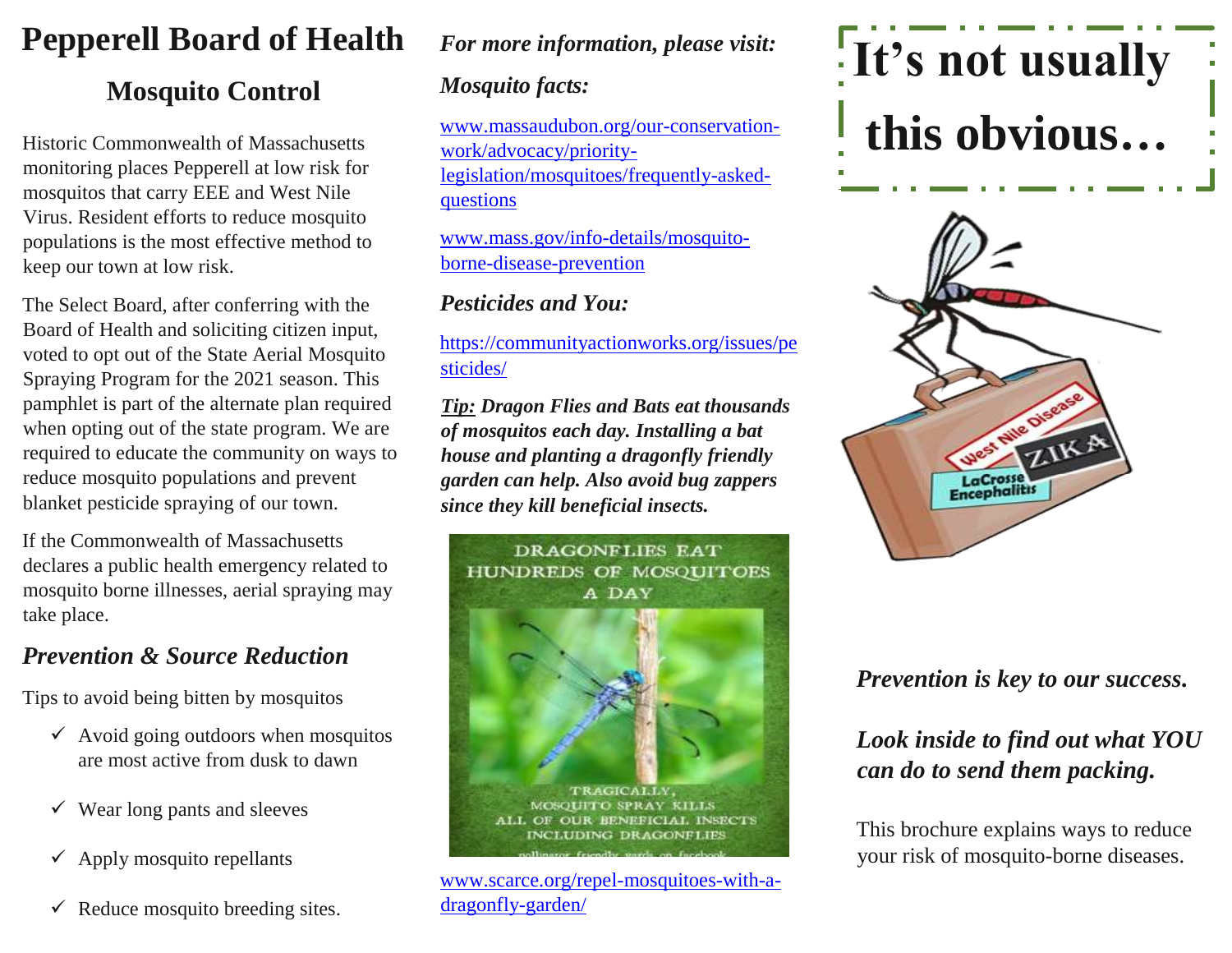### **Pepperell Board of Health**

#### **Mosquito Control**

Historic Commonwealth of Massachusetts monitoring places Pepperell at low risk for mosquitos that carry EEE and West Nile Virus. Resident efforts to reduce mosquito populations is the most effective method to keep our town at low risk.

voted to opt out of the State Aerial Mosquito The Select Board, after conferring with the Board of Health and soliciting citizen input, Spraying Program for the 2021 season. This pamphlet is part of the alternate plan required when opting out of the state program. We are required to educate the community on ways to reduce mosquito populations and prevent blanket pesticide spraying of our town.

If the Commonwealth of Massachusetts declares a public health emergency related to mosquito borne illnesses, aerial spraying may take place.

#### *Prevention & Source Reduction*

Tips to avoid being bitten by mosquitos

- $\checkmark$  Avoid going outdoors when mosquitos are most active from dusk to dawn
- $\checkmark$  Wear long pants and sleeves
- $\checkmark$  Apply mosquito repellants
- $\checkmark$  Reduce mosquito breeding sites.

#### *For more information, please visit:*

#### *Mosquito facts:*

[www.massaudubon.org/our-conservation](http://www.massaudubon.org/our-conservation-work/advocacy/priority-legislation/mosquitoes/frequently-asked-questions)[work/advocacy/priority](http://www.massaudubon.org/our-conservation-work/advocacy/priority-legislation/mosquitoes/frequently-asked-questions)[legislation/mosquitoes/frequently-asked](http://www.massaudubon.org/our-conservation-work/advocacy/priority-legislation/mosquitoes/frequently-asked-questions)[questions](http://www.massaudubon.org/our-conservation-work/advocacy/priority-legislation/mosquitoes/frequently-asked-questions)

[www.mass.gov/info-details/mosquito](http://www.mass.gov/info-details/mosquito-borne-disease-prevention)[borne-disease-prevention](http://www.mass.gov/info-details/mosquito-borne-disease-prevention)

#### *Pesticides and You:*

[https://communityactionworks.org/issues/pe](https://communityactionworks.org/issues/pesticides/) [sticides/](https://communityactionworks.org/issues/pesticides/)

*Tip: Dragon Flies and Bats eat thousands of mosquitos each day. Installing a bat house and planting a dragonfly friendly garden can help. Also avoid bug zappers since they kill beneficial insects.*



[www.scarce.org/repel-mosquitoes-with-a](http://www.scarce.org/repel-mosquitoes-with-a-dragonfly-garden/)[dragonfly-garden/](http://www.scarce.org/repel-mosquitoes-with-a-dragonfly-garden/)

# **It's not usually this obvious…**



#### *Prevention is key to our success.*

#### *Look inside to find out what YOU can do to send them packing.*

This brochure explains ways to reduce your risk of mosquito-borne diseases.